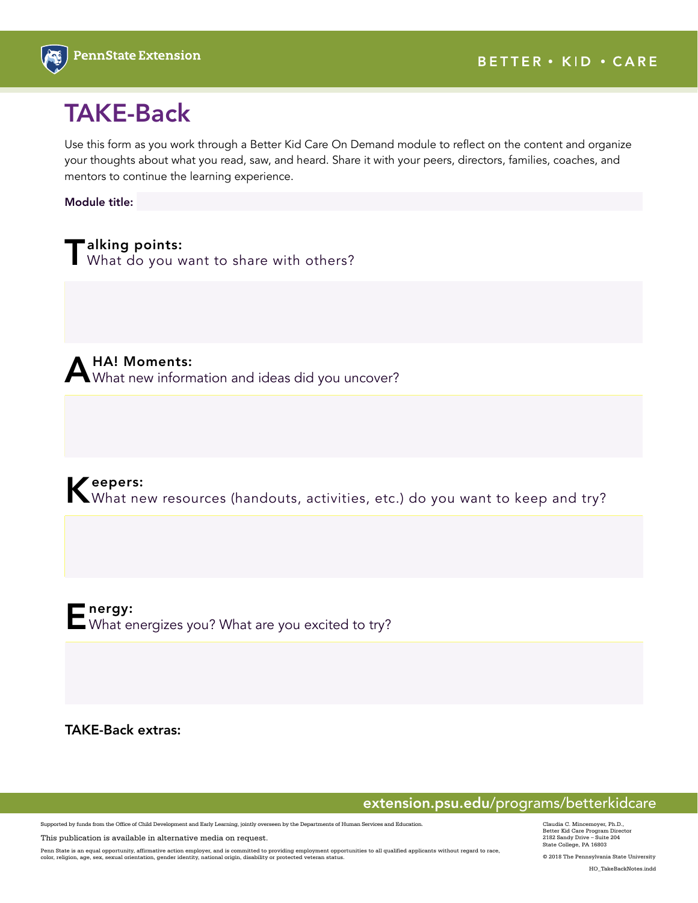

## TAKE-Back

Use this form as you work through a Better Kid Care On Demand module to reflect on the content and organize your thoughts about what you read, saw, and heard. Share it with your peers, directors, families, coaches, and mentors to continue the learning experience.

Module title:

**Talking points:**<br>I What do you want to share with others?

A HA! Moments:<br>A What new information and ideas did you uncover?

Keepers:<br>What new resources (handouts, activities, etc.) do you want to keep and try?



TAKE-Back extras:

extension.psu.edu/programs/betterkidcare

Supported by funds from the Office of Child Development and Early Learning, jointly overseen by the Departments of Human Services and Education.

This publication is available in alternative media on request.

Penn State is an equal opportunity, affirmative action employer, and is committed to providing employment opportunities to all qualified applicants without regard to race,<br>color, religion, age, sex, sexual orientation, gen

Claudia C. Mincemoyer, Ph.D., Better Kid Care Program Director 2182 Sandy Drive – Suite 204 State College, PA 16803

© 2018 The Pennsylvania State University